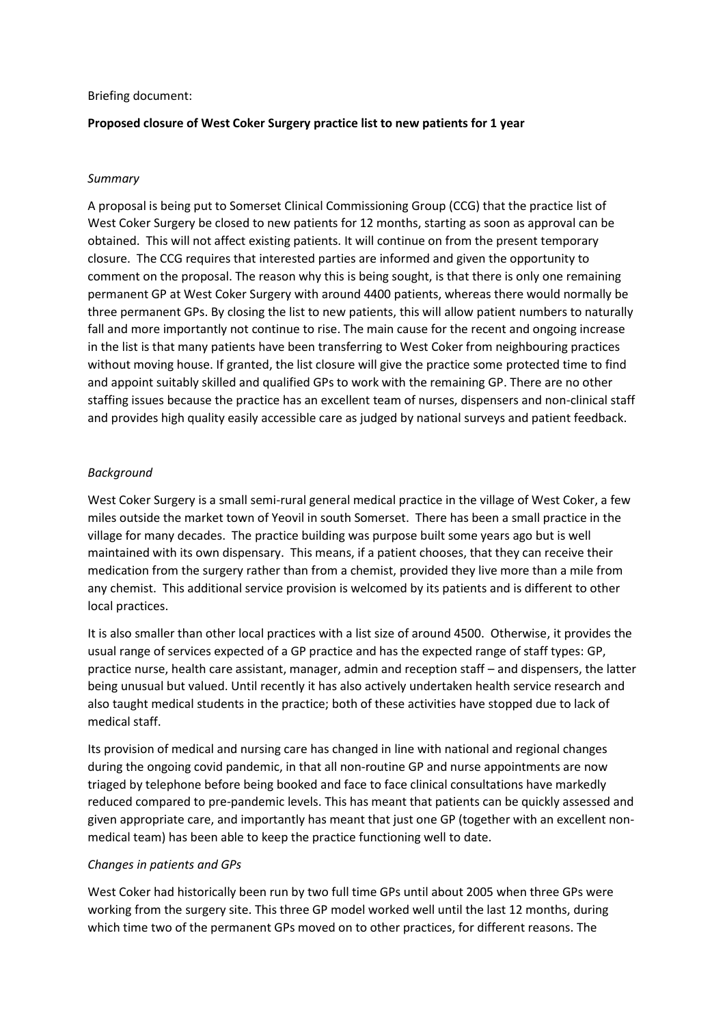#### Briefing document:

# **Proposed closure of West Coker Surgery practice list to new patients for 1 year**

## *Summary*

A proposal is being put to Somerset Clinical Commissioning Group (CCG) that the practice list of West Coker Surgery be closed to new patients for 12 months, starting as soon as approval can be obtained. This will not affect existing patients. It will continue on from the present temporary closure. The CCG requires that interested parties are informed and given the opportunity to comment on the proposal. The reason why this is being sought, is that there is only one remaining permanent GP at West Coker Surgery with around 4400 patients, whereas there would normally be three permanent GPs. By closing the list to new patients, this will allow patient numbers to naturally fall and more importantly not continue to rise. The main cause for the recent and ongoing increase in the list is that many patients have been transferring to West Coker from neighbouring practices without moving house. If granted, the list closure will give the practice some protected time to find and appoint suitably skilled and qualified GPs to work with the remaining GP. There are no other staffing issues because the practice has an excellent team of nurses, dispensers and non-clinical staff and provides high quality easily accessible care as judged by national surveys and patient feedback.

# *Background*

West Coker Surgery is a small semi-rural general medical practice in the village of West Coker, a few miles outside the market town of Yeovil in south Somerset. There has been a small practice in the village for many decades. The practice building was purpose built some years ago but is well maintained with its own dispensary. This means, if a patient chooses, that they can receive their medication from the surgery rather than from a chemist, provided they live more than a mile from any chemist. This additional service provision is welcomed by its patients and is different to other local practices.

It is also smaller than other local practices with a list size of around 4500. Otherwise, it provides the usual range of services expected of a GP practice and has the expected range of staff types: GP, practice nurse, health care assistant, manager, admin and reception staff – and dispensers, the latter being unusual but valued. Until recently it has also actively undertaken health service research and also taught medical students in the practice; both of these activities have stopped due to lack of medical staff.

Its provision of medical and nursing care has changed in line with national and regional changes during the ongoing covid pandemic, in that all non-routine GP and nurse appointments are now triaged by telephone before being booked and face to face clinical consultations have markedly reduced compared to pre-pandemic levels. This has meant that patients can be quickly assessed and given appropriate care, and importantly has meant that just one GP (together with an excellent nonmedical team) has been able to keep the practice functioning well to date.

### *Changes in patients and GPs*

West Coker had historically been run by two full time GPs until about 2005 when three GPs were working from the surgery site. This three GP model worked well until the last 12 months, during which time two of the permanent GPs moved on to other practices, for different reasons. The